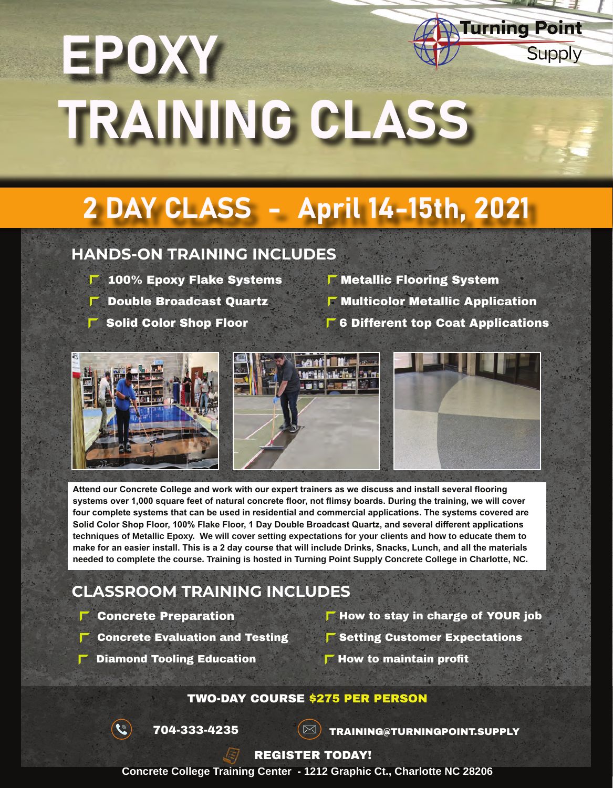# **Turning Point** EPOXY TRAINING CLASS

# 2 DAY CLASS - April 14-15th, 2021

### **HANDS-ON TRAINING INCLUDES**

- $\blacksquare$  100% Epoxy Flake Systems  $\blacksquare$  Metallic Flooring System
- 
- 
- 
- $\blacksquare$  Double Broadcast Quartz  $\blacksquare$  Multicolor Metallic Application
- **F** Solid Color Shop Floor **6 Different top Coat Applications**

**Supply** 



**systems over 1,000 square feet of natural concrete floor, not flimsy boards. During the training, we will cover four complete systems that can be used in residential and commercial applications. The systems covered are Solid Color Shop Floor, 100% Flake Floor, 1 Day Double Broadcast Quartz, and several different applications techniques of Metallic Epoxy. We will cover setting expectations for your clients and how to educate them to make for an easier install. This is a 2 day course that will include Drinks, Snacks, Lunch, and all the materials needed to complete the course. Training is hosted in Turning Point Supply Concrete College in Charlotte, NC.**

### **CLASSROOM TRAINING INCLUDES**

- $\Gamma$  Concrete Preparation
- Concrete Evaluation and Testing
- $\Gamma$  How to stay in charge of YOUR job

 $\Gamma$  Setting Customer Expectations

- 
- Diamond Tooling Education  $\blacksquare$  How to maintain profit
- 

#### TWO-DAY COURSE \$275 PER PERSON

 $\mathcal{L}$ 

 $\overline{704}$ -333-4235  $\overline{\text{ex}}$  Training@Turningpoint.supply

#### REGISTER TODAY!

**Concrete College Training Center - 1212 Graphic Ct., Charlotte NC 28206**